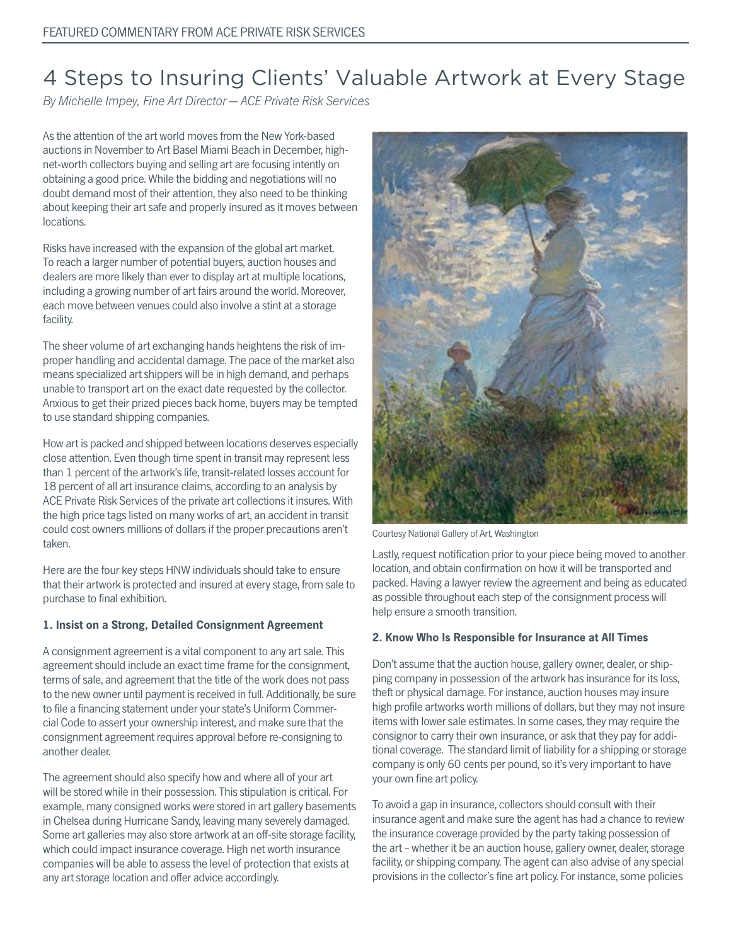# 4 Steps to Insuring Clients' Valuable Artwork at Every Stage

By Michelle Impey, Fine Art Director — ACE Private Risk Services

As the attention of the art world moves from the New York-based auctions in November to Art Basel Miami Beach in December, highnet-worth collectors buying and selling art are focusing intently on obtaining a good price. While the bidding and negotiations will no doubt demand most of their attention, they also need to be thinking about keeping their art safe and properly insured as it moves between locations.

Risks have increased with the expansion of the global art market. To reach a larger number of potential buyers, auction houses and dealers are more likely than ever to display art at multiple locations, including a growing number of art fairs around the world. Moreover, each move between venues could also involve a stint at a storage facility.

The sheer volume of art exchanging hands heightens the risk of improper handling and accidental damage. The pace of the market also means specialized art shippers will be in high demand, and perhaps unable to transport art on the exact date requested by the collector. Anxious to get their prized pieces back home, buyers may be tempted to use standard shipping companies.

How art is packed and shipped between locations deserves especially close attention. Even though time spent in transit may represent less than 1 percent of the artwork's life, transit-related losses account for 18 percent of all art insurance claims, according to an analysis by ACE Private Risk Services of the private art collections it insures. With the high price tags listed on many works of art, an accident in transit could cost owners millions of dollars if the proper precautions aren't taken.

Here are the four key steps HNW individuals should take to ensure that their artwork is protected and insured at every stage, from sale to purchase to final exhibition.

#### **1. Insist on a Strong, Detailed Consignment Agreement**

A consignment agreement is a vital component to any art sale. This agreement should include an exact time frame for the consignment, terms of sale, and agreement that the title of the work does not pass to the new owner until payment is received in full. Additionally, be sure to file a financing statement under your state's Uniform Commercial Code to assert your ownership interest, and make sure that the consignment agreement requires approval before re-consigning to another dealer.

The agreement should also specify how and where all of your art will be stored while in their possession. This stipulation is critical. For example, many consigned works were stored in art gallery basements in Chelsea during Hurricane Sandy, leaving many severely damaged. Some art galleries may also store artwork at an off-site storage facility, which could impact insurance coverage. High net worth insurance companies will be able to assess the level of protection that exists at any art storage location and offer advice accordingly.



Courtesy National Gallery of Art, Washington

Lastly, request notification prior to your piece being moved to another location, and obtain confirmation on how it will be transported and packed. Having a lawyer review the agreement and being as educated as possible throughout each step of the consignment process will help ensure a smooth transition.

#### **2. Know Who Is Responsible for Insurance at All Times**

Don't assume that the auction house, gallery owner, dealer, or shipping company in possession of the artwork has insurance for its loss, theft or physical damage. For instance, auction houses may insure high profile artworks worth millions of dollars, but they may not insure items with lower sale estimates. In some cases, they may require the consignor to carry their own insurance, or ask that they pay for additional coverage. The standard limit of liability for a shipping or storage company is only 60 cents per pound, so it's very important to have your own fine art policy.

To avoid a gap in insurance, collectors should consult with their insurance agent and make sure the agent has had a chance to review the insurance coverage provided by the party taking possession of the art – whether it be an auction house, gallery owner, dealer, storage facility, or shipping company. The agent can also advise of any special provisions in the collector's fine art policy. For instance, some policies